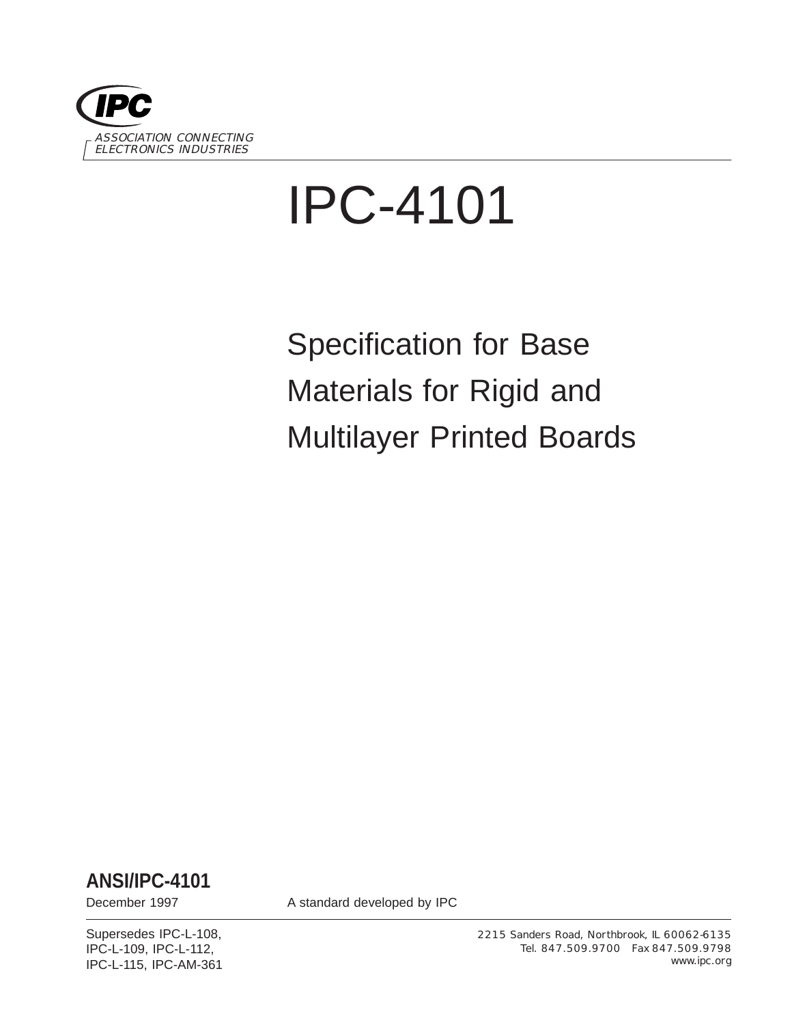

# IPC-4101

Specification for Base Materials for Rigid and Multilayer Printed Boards

**ANSI/IPC-4101**

December 1997 **A standard developed by IPC** 

Supersedes IPC-L-108, IPC-L-109, IPC-L-112, IPC-L-115, IPC-AM-361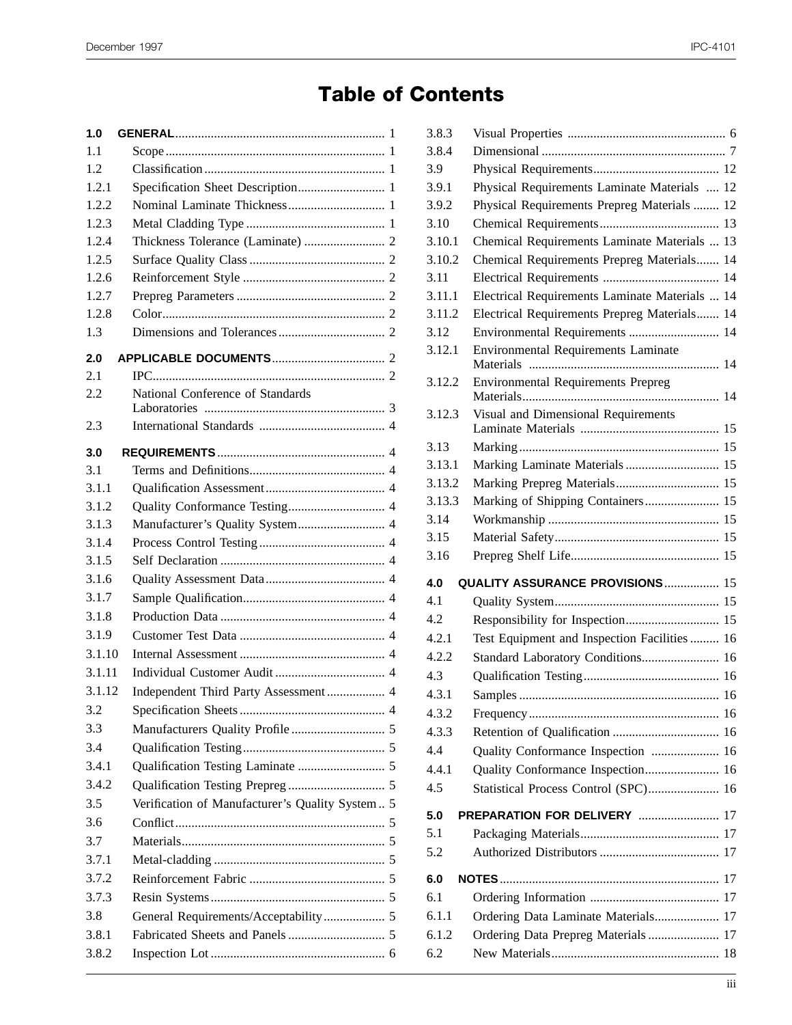## **Table of Contents**

| 1.0    |                                                 |  |
|--------|-------------------------------------------------|--|
| 1.1    |                                                 |  |
| 1.2    |                                                 |  |
| 1.2.1  |                                                 |  |
| 1.2.2  |                                                 |  |
| 1.2.3  |                                                 |  |
| 1.2.4  |                                                 |  |
| 1.2.5  |                                                 |  |
| 1.2.6  |                                                 |  |
| 1.2.7  |                                                 |  |
| 1.2.8  |                                                 |  |
| 1.3    |                                                 |  |
| 2.0    |                                                 |  |
| 2.1    |                                                 |  |
| 2.2    | National Conference of Standards                |  |
|        |                                                 |  |
| 2.3    |                                                 |  |
| 3.0    |                                                 |  |
| 3.1    |                                                 |  |
| 3.1.1  |                                                 |  |
| 3.1.2  |                                                 |  |
| 3.1.3  | Manufacturer's Quality System 4                 |  |
| 3.1.4  |                                                 |  |
| 3.1.5  |                                                 |  |
| 3.1.6  |                                                 |  |
| 3.1.7  |                                                 |  |
| 3.1.8  |                                                 |  |
| 3.1.9  |                                                 |  |
| 3.1.10 |                                                 |  |
| 3.1.11 |                                                 |  |
| 3.1.12 | Independent Third Party Assessment 4            |  |
| 3.2    |                                                 |  |
| 3.3    |                                                 |  |
| 3.4    |                                                 |  |
| 3.4.1  |                                                 |  |
| 3.4.2  |                                                 |  |
| 3.5    | Verification of Manufacturer's Quality System 5 |  |
| 3.6    |                                                 |  |
| 3.7    |                                                 |  |
| 3.7.1  |                                                 |  |
| 3.7.2  |                                                 |  |
| 3.7.3  |                                                 |  |
| 3.8    |                                                 |  |
| 3.8.1  |                                                 |  |
| 3.8.2  |                                                 |  |
|        |                                                 |  |

| 3.8.3  |                                                |  |
|--------|------------------------------------------------|--|
| 3.8.4  |                                                |  |
| 3.9    |                                                |  |
| 3.9.1  | Physical Requirements Laminate Materials  12   |  |
| 3.9.2  | Physical Requirements Prepreg Materials  12    |  |
| 3.10   |                                                |  |
| 3.10.1 | Chemical Requirements Laminate Materials  13   |  |
| 3.10.2 | Chemical Requirements Prepreg Materials 14     |  |
| 3.11   |                                                |  |
| 3.11.1 | Electrical Requirements Laminate Materials  14 |  |
| 3.11.2 | Electrical Requirements Prepreg Materials 14   |  |
| 3.12   | Environmental Requirements  14                 |  |
| 3.12.1 | <b>Environmental Requirements Laminate</b>     |  |
| 3.12.2 | <b>Environmental Requirements Prepreg</b>      |  |
| 3.12.3 | Visual and Dimensional Requirements            |  |
|        |                                                |  |
| 3.13   |                                                |  |
| 3.13.1 | Marking Laminate Materials 15                  |  |
| 3.13.2 | Marking Prepreg Materials 15                   |  |
| 3.13.3 | Marking of Shipping Containers 15              |  |
| 3.14   |                                                |  |
| 3.15   |                                                |  |
| 3.16   |                                                |  |
| 4.0    | QUALITY ASSURANCE PROVISIONS  15               |  |
| 4.1    |                                                |  |
| 4.2    |                                                |  |
| 4.2.1  | Test Equipment and Inspection Facilities  16   |  |
| 4.2.2  | Standard Laboratory Conditions 16              |  |
| 4.3    |                                                |  |
| 4.3.1  |                                                |  |
| 4.3.2  |                                                |  |
| 4.3.3  |                                                |  |
| 4.4    | Quality Conformance Inspection  16             |  |
| 4.4.1  | Quality Conformance Inspection 16              |  |
| 4.5    | Statistical Process Control (SPC) 16           |  |
| 5.0    | <b>PREPARATION FOR DELIVERY  17</b>            |  |
| 5.1    |                                                |  |
| 5.2    |                                                |  |
| 6.0    |                                                |  |
| 6.1    |                                                |  |
| 6.1.1  | Ordering Data Laminate Materials 17            |  |
| 6.1.2  | Ordering Data Prepreg Materials  17            |  |
| 6.2    |                                                |  |
|        |                                                |  |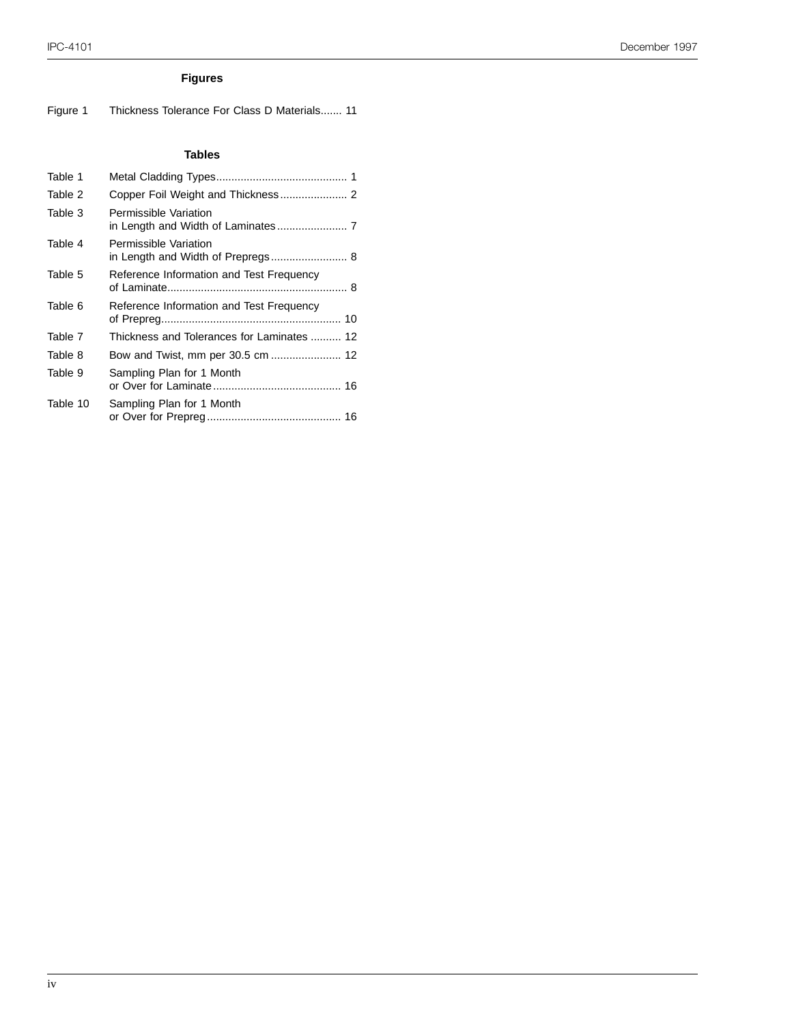#### IPC-4101 December 1997

#### **Figures**

Figure 1 Thickness Tolerance For Class D Materials....... 11

#### **Tables**

| Table 1  |                                            |
|----------|--------------------------------------------|
| Table 2  |                                            |
| Table 3  | Permissible Variation                      |
| Table 4  | Permissible Variation                      |
| Table 5  | Reference Information and Test Frequency   |
| Table 6  | Reference Information and Test Frequency   |
| Table 7  | Thickness and Tolerances for Laminates  12 |
| Table 8  |                                            |
| Table 9  | Sampling Plan for 1 Month                  |
| Table 10 | Sampling Plan for 1 Month                  |